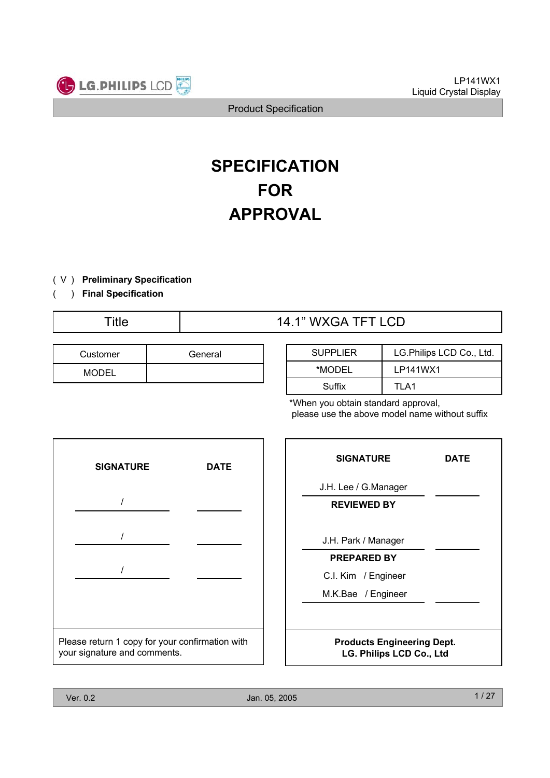

# **SPECIFICATION FOR APPROVAL**

- ) ( V **Preliminary Specification**
- ) **Final Specification** (

# Title  $14.1$ " WXGA TFT LCD

| Customer     | General |
|--------------|---------|
| <b>MODEL</b> |         |

| <b>SUPPLIER</b> | LG. Philips LCD Co., Ltd. |  |  |  |  |  |  |
|-----------------|---------------------------|--|--|--|--|--|--|
| *MODEL          | LP141WX1                  |  |  |  |  |  |  |
| Suffix          | TI A1                     |  |  |  |  |  |  |

\*When you obtain standard approval, please use the above model name without suffix



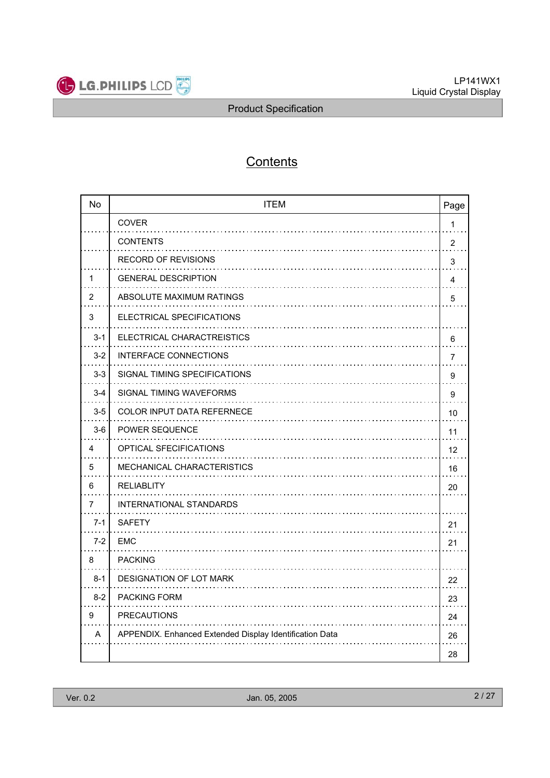

# **Contents**

| <b>No</b> | <b>ITEM</b>                                             | Page           |
|-----------|---------------------------------------------------------|----------------|
|           | COVER                                                   | $\mathbf{1}$   |
|           | <b>CONTENTS</b><br>1.1.1.1.1                            | $\overline{2}$ |
|           | <b>RECORD OF REVISIONS</b>                              | 3              |
| 1         | <b>GENERAL DESCRIPTION</b>                              | 4              |
| 2         | ABSOLUTE MAXIMUM RATINGS                                | 5              |
| 3         | ELECTRICAL SPECIFICATIONS                               |                |
| $3 - 1$   | ELECTRICAL CHARACTREISTICS                              | 6              |
| $3 - 2$   | <b>INTERFACE CONNECTIONS</b>                            | 7              |
| $3-3$     | SIGNAL TIMING SPECIFICATIONS                            | 9              |
| $3 - 4$   | SIGNAL TIMING WAVEFORMS                                 | 9              |
| $3-5$     | <b>COLOR INPUT DATA REFERNECE</b>                       | 10             |
| $3-6$     | <b>POWER SEQUENCE</b>                                   | 11             |
| 4         | <b>OPTICAL SFECIFICATIONS</b>                           | 12             |
| 5         | <b>MECHANICAL CHARACTERISTICS</b>                       | 16             |
| 6         | <b>RELIABLITY</b>                                       | 20             |
| 7         | <b>INTERNATIONAL STANDARDS</b>                          |                |
| $7-1$     | <b>SAFETY</b>                                           | 21             |
| $7 - 2$   | EMC                                                     | 21             |
| 8         | <b>PACKING</b>                                          |                |
| $8 - 1$   | <b>DESIGNATION OF LOT MARK</b>                          | 22             |
| $8 - 2$   | <b>PACKING FORM</b>                                     | 23             |
| 9         | <b>PRECAUTIONS</b>                                      | 24             |
| A         | APPENDIX. Enhanced Extended Display Identification Data | 26             |
|           |                                                         | 28             |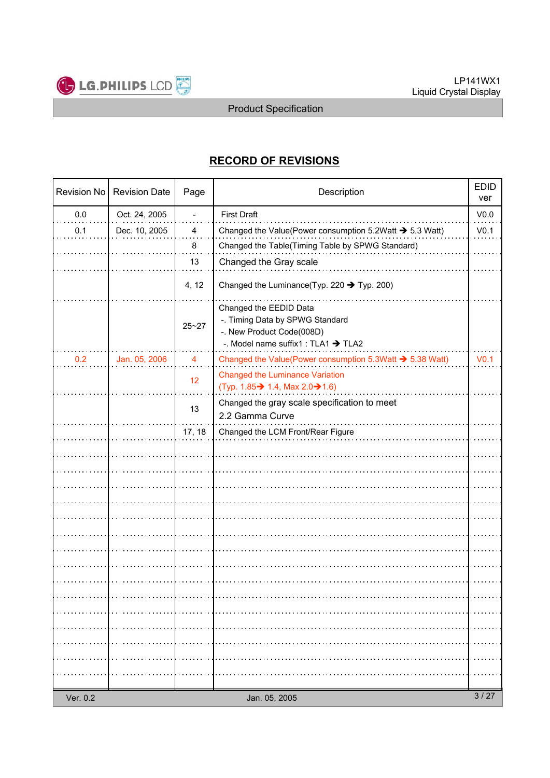

# **RECORD OF REVISIONS**

| Revision No | <b>Revision Date</b> | Page                     | Description                                                          | <b>EDID</b><br>ver |
|-------------|----------------------|--------------------------|----------------------------------------------------------------------|--------------------|
| 0.0         | Oct. 24, 2005        | $\overline{\phantom{0}}$ | <b>First Draft</b>                                                   | V <sub>0.0</sub>   |
| 0.1         | Dec. 10, 2005        | 4                        | Changed the Value(Power consumption 5.2 Watt $\rightarrow$ 5.3 Watt) | V <sub>0.1</sub>   |
|             |                      | 8                        | Changed the Table(Timing Table by SPWG Standard)                     |                    |
|             |                      | 13                       | Changed the Gray scale                                               |                    |
|             |                      |                          |                                                                      |                    |
|             |                      | 4, 12                    | Changed the Luminance (Typ. 220 $\rightarrow$ Typ. 200)              |                    |
|             |                      |                          | Changed the EEDID Data                                               |                    |
|             |                      | $25 - 27$                | -. Timing Data by SPWG Standard<br>-. New Product Code(008D)         |                    |
|             |                      |                          | -. Model name suffix1 : TLA1 > TLA2                                  |                    |
| 0.2         | Jan. 05, 2006        | $\overline{4}$           | Changed the Value(Power consumption 5.3Watt → 5.38 Watt)             | V <sub>0.1</sub>   |
|             |                      | 12                       | <b>Changed the Luminance Variation</b>                               |                    |
|             |                      |                          | (Typ. 1.85→ 1.4, Max 2.0→ 1.6)                                       |                    |
|             |                      | 13                       | Changed the gray scale specification to meet                         |                    |
|             |                      |                          | 2.2 Gamma Curve                                                      |                    |
|             |                      | 17, 18                   | Changed the LCM Front/Rear Figure                                    |                    |
|             |                      |                          |                                                                      |                    |
|             |                      |                          |                                                                      |                    |
|             |                      |                          |                                                                      |                    |
|             |                      |                          |                                                                      |                    |
|             |                      |                          |                                                                      |                    |
|             |                      |                          |                                                                      |                    |
|             |                      |                          |                                                                      |                    |
|             |                      |                          |                                                                      |                    |
|             |                      |                          |                                                                      |                    |
|             |                      |                          |                                                                      |                    |
|             |                      |                          |                                                                      |                    |
|             |                      |                          |                                                                      |                    |
|             |                      |                          |                                                                      |                    |
|             |                      |                          |                                                                      |                    |
|             |                      |                          |                                                                      |                    |
|             |                      |                          |                                                                      |                    |
| Ver. 0.2    |                      |                          | Jan. 05, 2005                                                        | 3/27               |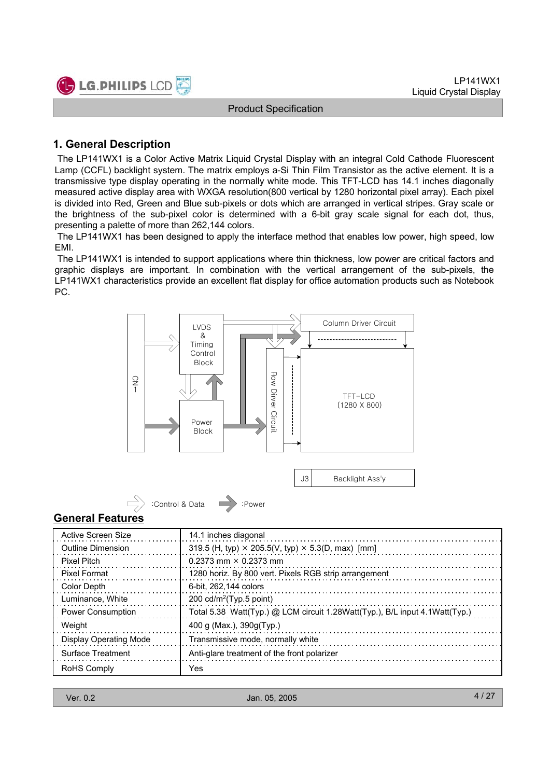

### **1. General Description**

The LP141WX1 is a Color Active Matrix Liquid Crystal Display with an integral Cold Cathode Fluorescent Lamp (CCFL) backlight system. The matrix employs a-Si Thin Film Transistor as the active element. It is a transmissive type display operating in the normally white mode. This TFT-LCD has 14.1 inches diagonally measured active display area with WXGA resolution(800 vertical by 1280 horizontal pixel array). Each pixel is divided into Red, Green and Blue sub-pixels or dots which are arranged in vertical stripes. Gray scale or the brightness of the sub-pixel color is determined with a 6-bit gray scale signal for each dot, thus, presenting a palette of more than 262,144 colors.

The LP141WX1 has been designed to apply the interface method that enables low power, high speed, low EMI.

The LP141WX1 is intended to support applications where thin thickness, low power are critical factors and graphic displays are important. In combination with the vertical arrangement of the sub-pixels, the LP141WX1 characteristics provide an excellent flat display for office automation products such as Notebook PC.

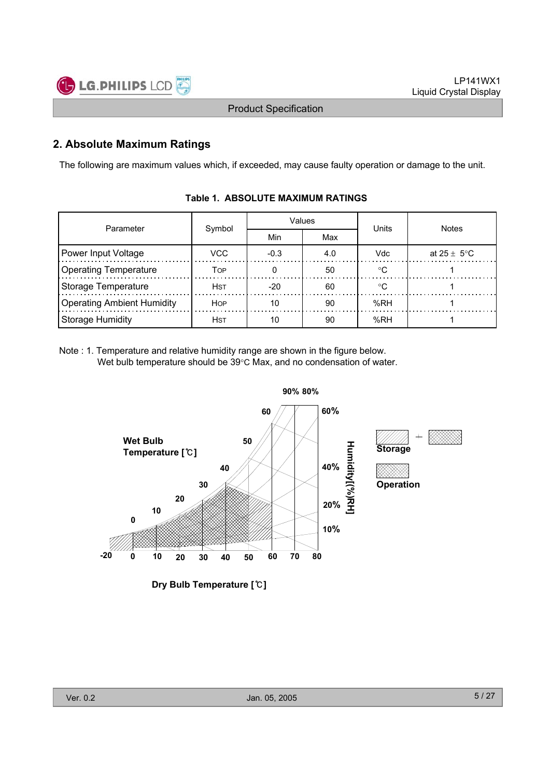

### **2. Absolute Maximum Ratings**

The following are maximum values which, if exceeded, may cause faulty operation or damage to the unit.

| Parameter                         |                      |       | Values | Units  | <b>Notes</b>            |  |  |
|-----------------------------------|----------------------|-------|--------|--------|-------------------------|--|--|
|                                   | Symbol               | Min   | Max    |        |                         |  |  |
| Power Input Voltage               | VCC<br>$-0.3$<br>4.0 |       |        |        | at $25 \pm 5^{\circ}$ C |  |  |
| <b>Operating Temperature</b>      | TOP                  |       | 50     | $\sim$ |                         |  |  |
| <b>Storage Temperature</b>        | <b>H</b> st          | $-20$ | 60     | ∘∩     |                         |  |  |
| <b>Operating Ambient Humidity</b> | <b>HOP</b>           | 10    | 90     | %RH    |                         |  |  |
| <b>Storage Humidity</b>           | <b>H</b> st          | 10    | 90     | %RH    |                         |  |  |

### **Table 1. ABSOLUTE MAXIMUM RATINGS**

Note : 1. Temperature and relative humidity range are shown in the figure below. Wet bulb temperature should be  $39^{\circ}$ C Max, and no condensation of water.



**Dry Bulb Temperature []**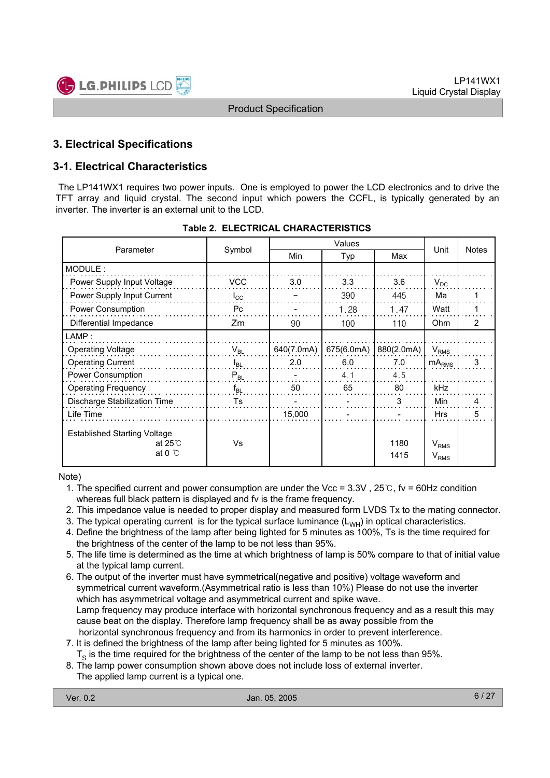

### **3. Electrical Specifications**

### **3-1. Electrical Characteristics**

The LP141WX1 requires two power inputs. One is employed to power the LCD electronics and to drive the TFT array and liquid crystal. The second input which powers the CCFL, is typically generated by an inverter. The inverter is an external unit to the LCD.

| Parameter                                                                |              |            | Unit       | <b>Notes</b> |                                      |                |  |
|--------------------------------------------------------------------------|--------------|------------|------------|--------------|--------------------------------------|----------------|--|
|                                                                          | Symbol       | Min        | Typ        | Max          |                                      |                |  |
| MODULE:                                                                  |              |            |            |              |                                      |                |  |
| Power Supply Input Voltage                                               | <b>VCC</b>   | 3.0        | 3.3        | 3.6          | $V_{DC}$                             |                |  |
| Power Supply Input Current                                               | $I_{\rm CC}$ |            | 390        | 445          | Ma                                   |                |  |
| Power Consumption                                                        | Pc           |            | 1.28       | 1.47         | Watt                                 |                |  |
| Differential Impedance                                                   | Zm           | 90         | 100        | 110          | <b>Ohm</b>                           | $\overline{2}$ |  |
| $\mathsf{LAMP}$ :                                                        |              |            |            |              |                                      |                |  |
| <b>Operating Voltage</b>                                                 | $V_{BL}$     | 640(7.0mA) | 675(6.0mA) | 880(2.0mA)   | $V_{RMS}$                            |                |  |
| <b>Operating Current</b>                                                 | $I_{BL}$     | 2.0        | 6.0        | 7.0          | mA <sub>RMS</sub>                    | 3              |  |
| Power Consumption                                                        | $P_{BL}$     |            | 4.1        | 4.5          |                                      |                |  |
| <b>Operating Frequency</b>                                               | $f_{BL}$     | 50         | 65         | 80           | kHz                                  |                |  |
| Discharge Stabilization Time                                             | Ts           |            |            | 3            | Min                                  | 4              |  |
| Life Time                                                                |              | 15,000     |            |              | <b>Hrs</b>                           | 5              |  |
| <b>Established Starting Voltage</b><br>at $25^\circ$<br>at 0 $\degree$ C | Vs           |            |            | 1180<br>1415 | $V_{RMS}$<br><b>V</b> <sub>RMS</sub> |                |  |

#### **Table 2. ELECTRICAL CHARACTERISTICS**

Note)

- 1. The specified current and power consumption are under the Vcc =  $3.3V$ ,  $25^\circ$ C, fv = 60Hz condition whereas full black pattern is displayed and fv is the frame frequency.
- 2. This impedance value is needed to proper display and measured form LVDS Tx to the mating connector.
- 3. The typical operating current is for the typical surface luminance  $(L_{WH})$  in optical characteristics.
- 4. Define the brightness of the lamp after being lighted for 5 minutes as 100%, Ts is the time required for the brightness of the center of the lamp to be not less than 95%.
- 5. The life time is determined as the time at which brightness of lamp is 50% compare to that of initial value at the typical lamp current.
- 6. The output of the inverter must have symmetrical(negative and positive) voltage waveform and symmetrical current waveform.(Asymmetrical ratio is less than 10%) Please do not use the inverter which has asymmetrical voltage and asymmetrical current and spike wave. Lamp frequency may produce interface with horizontal synchronous frequency and as a result this may cause beat on the display. Therefore lamp frequency shall be as away possible from the horizontal synchronous frequency and from its harmonics in order to prevent interference.
- 7. It is defined the brightness of the lamp after being lighted for 5 minutes as 100%.
- $T<sub>s</sub>$  is the time required for the brightness of the center of the lamp to be not less than 95%.
- 8. The lamp power consumption shown above does not include loss of external inverter.
- The applied lamp current is a typical one.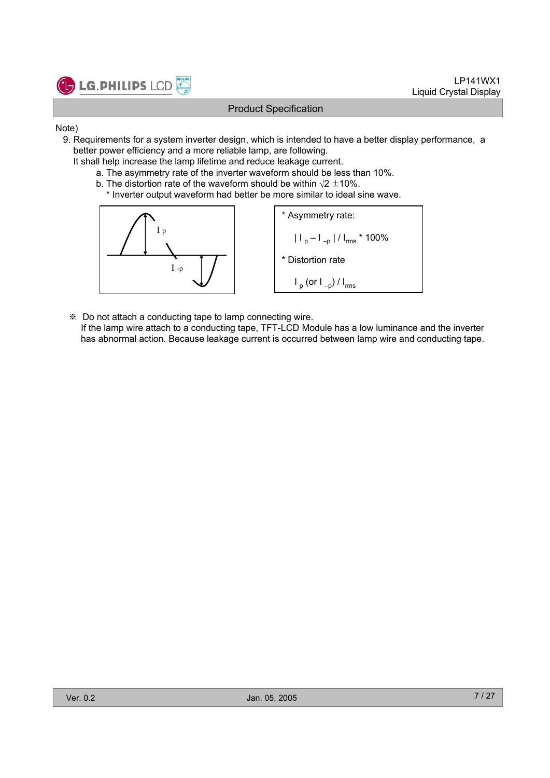

- Note)
	- 9. Requirements for a system inverter design, which is intended to have a better display performance, a better power efficiency and a more reliable lamp, are following.
		- It shall help increase the lamp lifetime and reduce leakage current.
			- a. The asymmetry rate of the inverter waveform should be less than 10%.
			- b. The distortion rate of the waveform should be within  $\sqrt{2} \pm 10\%$ .
				- \* Inverter output waveform had better be more similar to ideal sine wave.



- Do not attach a conducting tape to lamp connecting wire.
- If the lamp wire attach to a conducting tape, TFT-LCD Module has a low luminance and the inverter has abnormal action. Because leakage current is occurred between lamp wire and conducting tape.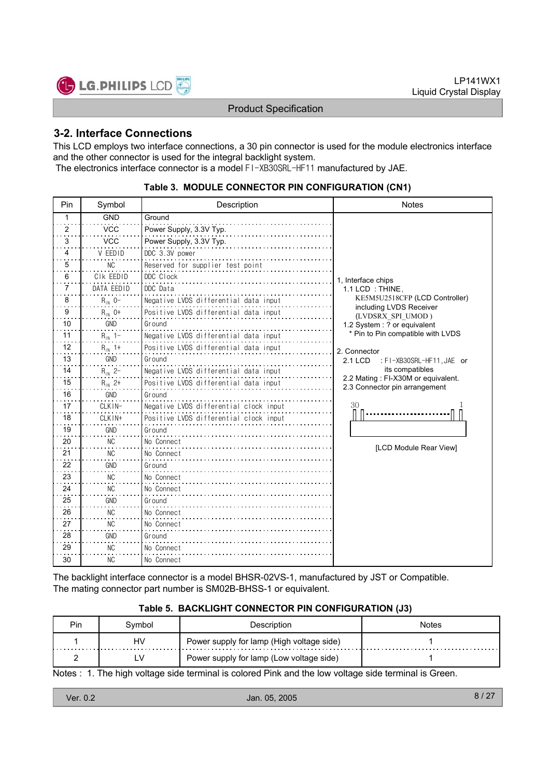

### **3-2. Interface Connections**

This LCD employs two interface connections, a 30 pin connector is used for the module electronics interface and the other connector is used for the integral backlight system. The electronics interface connector is a model FI-XB30SRL-HF11 manufactured by JAE.

| Pin | Symbol         | Description                            | <b>Notes</b>                                                        |
|-----|----------------|----------------------------------------|---------------------------------------------------------------------|
| 1   | <b>GND</b>     | Ground                                 |                                                                     |
| 2   | <b>VCC</b>     | Power Supply, 3.3V Typ.                |                                                                     |
| 3   | <b>VCC</b>     | Power Supply, 3.3V Typ.                |                                                                     |
| 4   | V EEDID        | DDC 3.3V power                         |                                                                     |
| 5   | <b>NC</b>      | Reserved for supplier test point       |                                                                     |
| 6   | CIK EEDID      | DDC Clock                              | 1, Interface chips                                                  |
| 7   | DATA EEDID     | DDC Data                               | 1.1 LCD: THINE.                                                     |
| 8   | $R_{1N}$ 0-    | Negative LVDS differential data input  | KE5M5U2518CFP (LCD Controller)                                      |
| 9   | $R_{IN}$ 0+    | Positive LVDS differential data input  | including LVDS Receiver<br>(LVDSRX SPI UMOD)                        |
| 10  | <b>GND</b>     | Ground                                 | 1.2 System : ? or equivalent                                        |
| 11  | $R_{1N}$ 1-    | Negative LVDS differential data input  | * Pin to Pin compatible with LVDS                                   |
| 12  | $R_{IN}$ 1+    | Positive LVDS differential data input  | 2. Connector                                                        |
| 13  | GND            | Ground                                 | 2.1 LCD<br>: FI-XB30SRL-HF11, JAE or                                |
| 14  | $R_{1N}$ 2-    | Negative LVDS differential data input  | its compatibles                                                     |
| 15  | $R_{1N}$ 2+    | Positive LVDS differential data input  | 2.2 Mating: FI-X30M or equivalent.<br>2.3 Connector pin arrangement |
| 16  | GND            | Ground                                 |                                                                     |
| 17  | CLKIN-         | Negative LVDS differential clock input | 30                                                                  |
| 18  | $CI$ $K$ $IN+$ | Positive LVDS differential clock input |                                                                     |
| 19  | GND            | Ground                                 |                                                                     |
| 20  | NC             | No Connect                             | [LCD Module Rear View]                                              |
| 21  | <b>NC</b>      | No Connect                             |                                                                     |
| 22  | GND            | Ground                                 |                                                                     |
| 23  | <b>NC</b>      | No Connect                             |                                                                     |
| 24  | NC.            | No Connect                             |                                                                     |
| 25  | GND            | Ground                                 |                                                                     |
| 26  | <b>NC</b>      | No Connect                             |                                                                     |
| 27  | NC.            | No Connect                             |                                                                     |
| 28  | <b>GND</b>     | Ground                                 |                                                                     |
| 29  | <b>NC</b>      | No Connect                             |                                                                     |
| 30  | NC.            | No Connect                             |                                                                     |

#### **Table 3. MODULE CONNECTOR PIN CONFIGURATION (CN1)**

The backlight interface connector is a model BHSR-02VS-1, manufactured by JST or Compatible. The mating connector part number is SM02B-BHSS-1 or equivalent.

#### **Table 5. BACKLIGHT CONNECTOR PIN CONFIGURATION (J3)**

| <b>Pin</b> | Svmbol | Description                               | Notes |
|------------|--------|-------------------------------------------|-------|
|            | HV     | Power supply for lamp (High voltage side) |       |
|            | LV     | Power supply for lamp (Low voltage side)  |       |

Notes : 1. The high voltage side terminal is colored Pink and the low voltage side terminal is Green.

| Jan. 05, 2005<br>Ver. 0.2<br>O |
|--------------------------------|
|--------------------------------|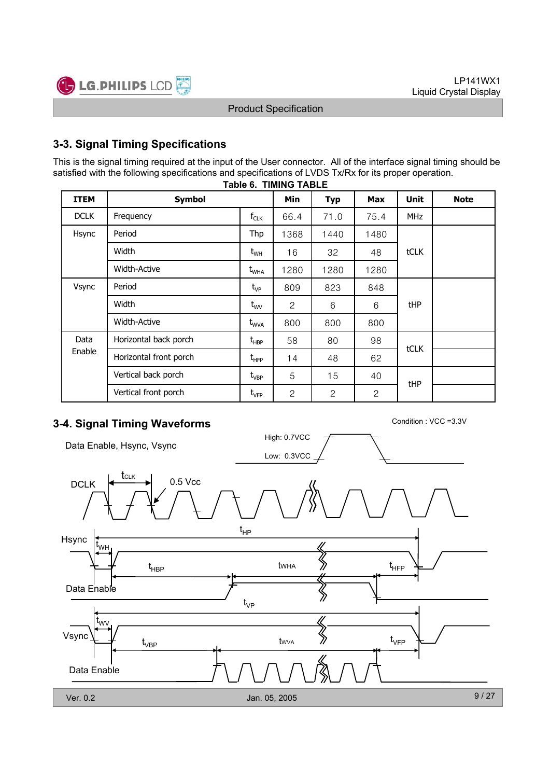

### **3-3. Signal Timing Specifications**

This is the signal timing required at the input of the User connector. All of the interface signal timing should be satisfied with the following specifications and specifications of LVDS Tx/Rx for its proper operation.

| <b>ITEM</b>         | <b>Symbol</b>          |                                               | Min            | <b>Typ</b>   | <b>Max</b>   | <b>Unit</b> | <b>Note</b> |
|---------------------|------------------------|-----------------------------------------------|----------------|--------------|--------------|-------------|-------------|
| <b>DCLK</b>         | Frequency              | $f_{CLK}$                                     | 66.4           | 71.0         | 75.4         | <b>MHz</b>  |             |
| Hsync               | Period<br>Width        |                                               | 1368           | 1440         | 1480         |             |             |
|                     |                        |                                               | 16             | 32           | 48           | tCLK        |             |
| <b>Width-Active</b> |                        | $t_{\text{WHA}}$                              | 1280           | 1280         | 1280         |             |             |
| Vsync               | Period                 | $t_{VP}$                                      | 809            | 823          | 848          |             |             |
|                     | Width                  | $t_{\text{wV}}$                               | $\mathbf{2}$   | 6            | 6            | tHP         |             |
|                     | Width-Active           | t <sub>wva</sub>                              | 800            | 800          | 800          |             |             |
| Data                | Horizontal back porch  | $t_{\scriptscriptstyle \sf HBP}$              | 58             | 80           | 98           |             |             |
| Enable              | Horizontal front porch | $\mathsf{t}_{\mathsf{H}\mathsf{F}\mathsf{P}}$ | 14             | 48           | 62           | tCLK        |             |
|                     | Vertical back porch    | $t_{VBP}$                                     | 5              | 15           | 40           |             |             |
|                     | Vertical front porch   | $t_{\rm VFP}$                                 | $\overline{c}$ | $\mathbf{2}$ | $\mathbf{2}$ | tHP         |             |

#### **Table 6. TIMING TABLE**

# **3-4. Signal Timing Waveforms** Condition : VCC =3.3V

Data Enable, Hsync, Vsync



High: 0.7VCC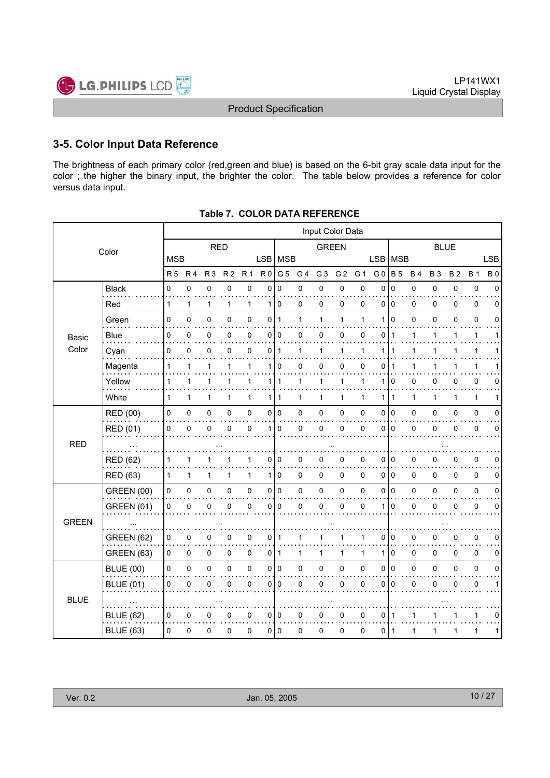

### **3-5. Color Input Data Reference**

The brightness of each primary color (red,green and blue) is based on the 6-bit gray scale data input for the color ; the higher the binary input, the brighter the color. The table below provides a reference for color versus data input.

|              |                   | Input Color Data |                |                |                |                |                |                |                |                |                |              |                |                |              |              |              |              |             |
|--------------|-------------------|------------------|----------------|----------------|----------------|----------------|----------------|----------------|----------------|----------------|----------------|--------------|----------------|----------------|--------------|--------------|--------------|--------------|-------------|
|              | Color             |                  |                | <b>RED</b>     |                |                |                |                |                | <b>GREEN</b>   |                |              |                |                |              | <b>BLUE</b>  |              |              |             |
|              |                   | <b>MSB</b>       |                |                |                |                | LSB MSB        |                |                |                |                |              | <b>LSB</b>     | MSB            |              |              |              |              | <b>LSB</b>  |
|              |                   | R <sub>5</sub>   | R <sub>4</sub> | R <sub>3</sub> | R <sub>2</sub> | R <sub>1</sub> | R <sub>0</sub> | G <sub>5</sub> | G <sub>4</sub> | G <sub>3</sub> | G <sub>2</sub> | G 1          | G <sub>0</sub> | <b>B</b> 5     | <b>B4</b>    | <b>B3</b>    | <b>B2</b>    | <b>B</b> 1   | <b>B0</b>   |
|              | <b>Black</b>      | $\mathbf 0$      | 0              | 0              | $\mathbf 0$    | $\mathbf 0$    | 0              | $\Omega$       | 0              | 0              | 0              | 0            | $\mathbf 0$    | $\mathbf 0$    | 0            | 0            | 0            | $\pmb{0}$    | $\Omega$    |
|              | Red               | 1                | 1              | $\mathbf{1}$   | 1              | 1              | 1 <sup>1</sup> | $\mathbf 0$    | 0              | 0              | 0              | 0            | 0              | $\mathbf 0$    | 0            | 0            | 0            | 0            | $\Omega$    |
|              | Green             | 0                | 0              | 0              | 0              | 0              | 0              | 1              | 1              | 1              | 1              | 1            | 1              | $\Omega$       | 0            | 0            | 0            | $\pmb{0}$    | 0           |
| Basic        | <b>Blue</b>       | 0                | 0              | 0              | 0              | 0              | 0              | 0              | 0              | 0              | 0              | 0            | 0              | 1              | 1            | 1            | 1            | $\mathbf{1}$ | 1           |
| Color        | Cyan              | $\mathbf 0$      | 0              | $\mathbf 0$    | $\Omega$       | 0              | 0              | $\mathbf{1}$   | 1              | $\mathbf{1}$   | $\mathbf{1}$   | 1            | 1              | 1              | $\mathbf{1}$ | 1            | 1            | $\mathbf{1}$ |             |
|              | Magenta           | 1                | 1              | 1              | 1              | 1              | 1              | 0              | 0              | 0              | 0              | 0            | 0              |                |              | 1            |              | 1            |             |
|              | Yellow            | 1                | $\mathbf{1}$   | 1              | 1              | 1              | 1              | $\mathbf 1$    | 1              | 1              | 1              | 1            | 1              | 0              | 0            | 0            | 0            | 0            | 0           |
|              | White             | $\mathbf{1}$     | $\mathbf{1}$   | 1              | $\mathbf{1}$   | $\mathbf{1}$   | 1 <sup>1</sup> | $\mathbf 1$    | 1              | $\mathbf{1}$   | 1              | $\mathbf{1}$ | 1              | $\overline{1}$ | $\mathbf{1}$ | $\mathbf{1}$ | $\mathbf{1}$ | $\mathbf{1}$ | 1           |
|              | RED (00)          | 0                | 0              | $\pmb{0}$      | 0              | 0              | $\overline{0}$ | $\overline{0}$ | 0              | $\pmb{0}$      | 0              | 0            | 0              | $\overline{0}$ | 0            | 0            | 0            | $\pmb{0}$    | $\mathbf 0$ |
|              | RED (01)          | 0                | $\mathbf 0$    | $\mathbf 0$    | $\Omega$       | $\mathbf 0$    | 1              | $\mathbf 0$    | 0              | $\pmb{0}$      | 0              | 0            | $\Omega$       | $\overline{0}$ | 0            | 0            | $\Omega$     | $\pmb{0}$    | $\mathbf 0$ |
| <b>RED</b>   |                   |                  |                |                |                |                |                |                |                |                |                |              |                |                |              |              |              |              |             |
|              | <b>RED (62)</b>   | 1                | 1              | 1              |                | 1              | 0              | 0              | 0              | 0              | 0              | 0            | 0              | $\overline{0}$ | 0            | 0            | 0            | 0            | 0           |
|              | RED (63)          | 1                | $\mathbf{1}$   | $\mathbf{1}$   | 1              | $\mathbf{1}$   | 1 <sup>1</sup> | $\mathbf 0$    | 0              | $\mathbf 0$    | 0              | $\mathbf 0$  | $\Omega$       | <b>0</b>       | 0            | 0            | 0            | 0            | 0           |
|              | <b>GREEN (00)</b> | 0                | 0              | $\pmb{0}$      | 0              | 0              | $\overline{0}$ | $\overline{0}$ | 0              | $\pmb{0}$      | $\pmb{0}$      | 0            | 0              | $\overline{0}$ | 0            | 0            | 0            | $\pmb{0}$    | $\pmb{0}$   |
|              | <b>GREEN (01)</b> | 0                | $\pmb{0}$      | 0              | 0              | 0              | 0              | $\mathbf 0$    | 0              | $\pmb{0}$      | 0              | $\pmb{0}$    |                | $\mathbf 0$    | 0            | 0            | 0            | $\pmb{0}$    | 0           |
| <b>GREEN</b> |                   |                  |                |                |                |                |                |                |                |                |                |              |                |                |              |              |              |              |             |
|              | <b>GREEN (62)</b> | 0                | 0              | 0              | 0              | 0              | 0              | $\mathbf 1$    | 1              | 1              | 1              | 1            | 0              | $\overline{0}$ | 0            | 0            | 0            | $\pmb{0}$    | 0           |
|              | GREEN (63)        | 0                | 0              | $\mathbf 0$    | 0              | 0              | 0              | $\vert$ 1      | 1              | $\mathbf{1}$   | 1              | $\mathbf{1}$ | 1              | $\mathbf 0$    | 0            | 0            | 0            | 0            | 0           |
|              | <b>BLUE (00)</b>  | $\mathsf 0$      | 0              | $\mathsf 0$    | $\mathbf 0$    | 0              | $\overline{0}$ | $\overline{0}$ | 0              | $\mathbf 0$    | $\pmb{0}$      | 0            | 0              | $\overline{0}$ | 0            | 0            | 0            | $\pmb{0}$    | $\mathbf 0$ |
|              | <b>BLUE (01)</b>  | 0                | 0              | 0              | 0              | 0              | 0              | $\mathbf 0$    | 0              | 0              | 0              | 0            | 0              | $\mathbf 0$    | 0            | 0            | 0            | $\pmb{0}$    | 1           |
| <b>BLUE</b>  |                   |                  |                |                |                |                |                |                |                |                |                |              |                |                |              |              |              |              |             |
|              | <b>BLUE (62)</b>  | 0                | 0              | 0              | 0              | 0              | $\overline{0}$ | 0              | 0              | 0              | 0              | 0            | 0              | $\overline{1}$ | 1            | 1            |              | $\mathbf{1}$ | 0           |
|              | <b>BLUE (63)</b>  | 0                | 0              | $\mathbf 0$    | 0              | 0              | 0 l            | $\overline{0}$ | 0              | 0              | 0              | 0            | 0              | -1             | 1            | 1            | 1            | $\mathbf{1}$ | 1           |
|              |                   |                  |                |                |                |                |                |                |                |                |                |              |                |                |              |              |              |              |             |

**Table 7. COLOR DATA REFERENCE**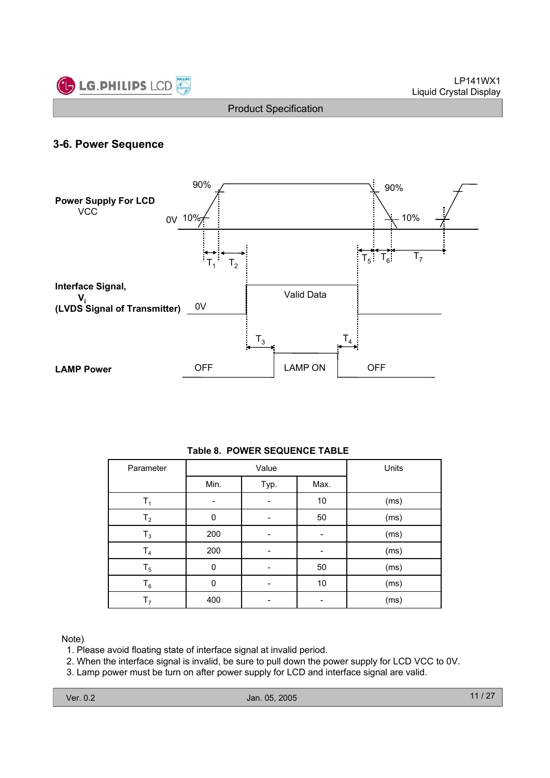

### **3-6. Power Sequence**



#### **Table 8. POWER SEQUENCE TABLE**

| Parameter      |          | Value | Units |      |
|----------------|----------|-------|-------|------|
|                | Min.     | Typ.  | Max.  |      |
| Τ,             |          |       | 10    | (ms) |
| T <sub>2</sub> | 0        |       | 50    | (ms) |
| $T_3$          | 200      |       |       | (ms) |
| T <sub>4</sub> | 200      |       |       | (ms) |
| $T_5$          | $\Omega$ |       | 50    | (ms) |
| $\mathsf{T}_6$ | O        |       | 10    | (ms) |
| T <sub>7</sub> | 400      |       |       | (ms) |

Note)

1. Please avoid floating state of interface signal at invalid period.

2. When the interface signal is invalid, be sure to pull down the power supply for LCD VCC to 0V.

3. Lamp power must be turn on after power supply for LCD and interface signal are valid.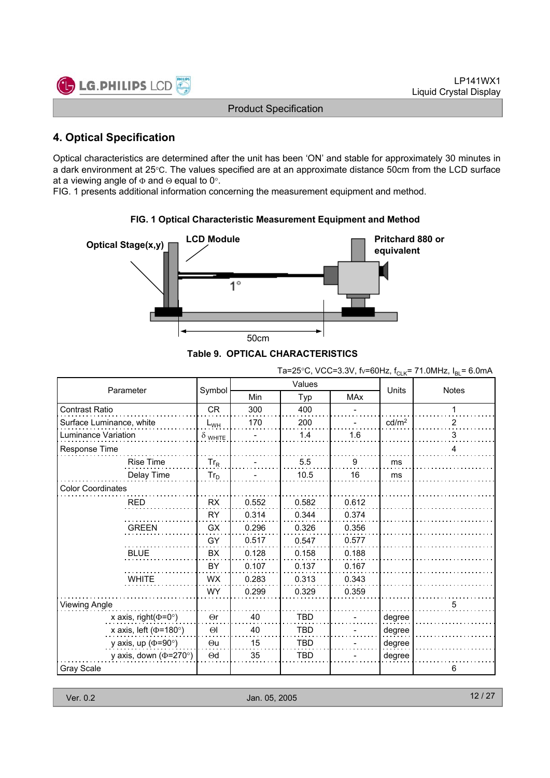

### **4. Optical Specification**

Optical characteristics are determined after the unit has been 'ON' and stable for approximately 30 minutes in a dark environment at 25°C. The values specified are at an approximate distance 50cm from the LCD surface at a viewing angle of  $\Phi$  and  $\Theta$  equal to 0°.

FIG. 1 presents additional information concerning the measurement equipment and method.



### **FIG. 1 Optical Characteristic Measurement Equipment and Method**

| Parameter                    |                |       | Values     | Units      | <b>Notes</b>      |   |
|------------------------------|----------------|-------|------------|------------|-------------------|---|
|                              | Symbol         | Min   | Typ        | <b>MAx</b> |                   |   |
| <b>Contrast Ratio</b>        | <b>CR</b>      | 300   | 400        |            |                   |   |
| Surface Luminance, white     | $L_{WH}$       | 170   | 200        |            | cd/m <sup>2</sup> | 2 |
| Luminance Variation          | $\delta$ white |       | 1.4        | 1.6        |                   | 3 |
| Response Time                |                |       |            |            |                   | 4 |
| Rise Time                    | $Tr_R$         |       | 5.5        | 9          | ms                |   |
| Delay Time                   | $Tr_D$         |       | 10.5       | 16         | ms                |   |
| <b>Color Coordinates</b>     |                |       |            |            |                   |   |
| <b>RED</b>                   | <b>RX</b>      | 0.552 | 0.582      | 0.612      |                   |   |
|                              | <b>RY</b>      | 0.314 | 0.344      | 0.374      |                   |   |
| <b>GREEN</b>                 | GX             | 0.296 | 0.326      | 0.356      |                   |   |
|                              | GY             | 0.517 | 0.547      | 0.577      |                   |   |
| <b>BLUE</b>                  | <b>BX</b>      | 0.128 | 0.158      | 0.188      |                   |   |
|                              | BY             | 0.107 | 0.137      | 0.167      |                   |   |
| <b>WHITE</b>                 | <b>WX</b>      | 0.283 | 0.313      | 0.343      |                   |   |
|                              | <b>WY</b>      | 0.299 | 0.329      | 0.359      |                   |   |
| Viewing Angle                |                |       |            |            |                   | 5 |
| x axis, right( $\Phi$ =0°)   | $\Theta$ r     | 40    | <b>TBD</b> |            | degree            |   |
| x axis, left ( $\Phi$ =180°) | $\Theta$ l     | 40    | <b>TBD</b> |            | degree            |   |
| y axis, up ( $\Phi$ =90°)    | $\Theta$ u     | 15    | <b>TBD</b> |            | degree            |   |
| y axis, down ( $\Phi$ =270°) | $\Theta$ d     | 35    | TBD        |            | degree            |   |
| Gray Scale                   |                |       |            |            |                   | 6 |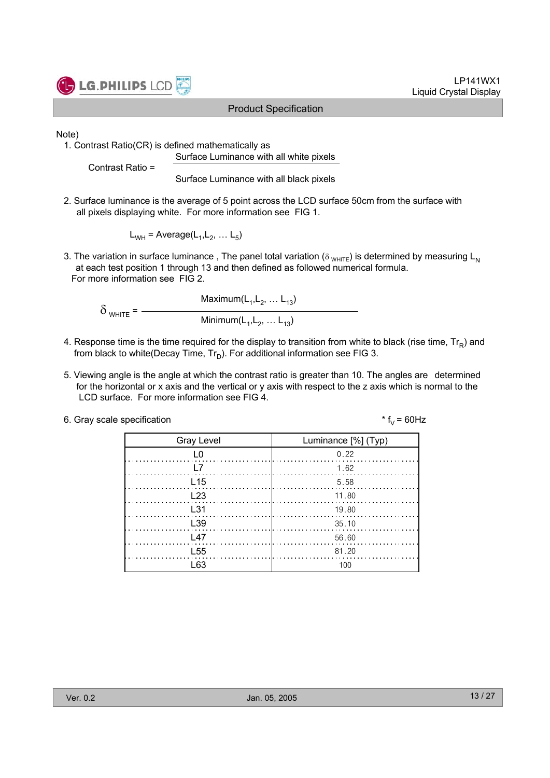

LP141WX1 Liquid Crystal Display

Note)

1. Contrast Ratio(CR) is defined mathematically as Surface Luminance with all white pixels

Contrast Ratio =

Surface Luminance with all black pixels

2. Surface luminance is the average of 5 point across the LCD surface 50cm from the surface with all pixels displaying white. For more information see FIG 1.

 $L_{WH}$  = Average( $L_1, L_2, \ldots L_5$ )

3. The variation in surface luminance, The panel total variation ( $\delta_{WHTE}$ ) is determined by measuring L<sub>N</sub> at each test position 1 through 13 and then defined as followed numerical formula. For more information see FIG 2.

Maximum $(L_1, L_2, ... L_{13})$  $\delta$  white =  $-$ Minimum $(L_1, L_2, ... L_{13})$ 

- 4. Response time is the time required for the display to transition from white to black (rise time,  $Tr_R$ ) and from black to white(Decay Time,  $Tr_D$ ). For additional information see FIG 3.
- 5. Viewing angle is the angle at which the contrast ratio is greater than 10. The angles are determined for the horizontal or x axis and the vertical or y axis with respect to the z axis which is normal to the LCD surface. For more information see FIG 4.

| 6. Gray scale specification | * $f_v = 60$ Hz |
|-----------------------------|-----------------|
|-----------------------------|-----------------|

| <b>Gray Level</b>    | Luminance [%] (Typ) |
|----------------------|---------------------|
| L0                   | 0.22                |
| l 7                  | 1.62                |
| L15                  | 5.58                |
| L23                  | $\ldots$ 11.80      |
| $\pm$ 31             | 19.80               |
| L <sub>39</sub>      | 35.10               |
| $\lfloor 47 \rfloor$ | 56.60               |
| L <sub>55</sub>      | 81.20               |
| l 63                 | 100                 |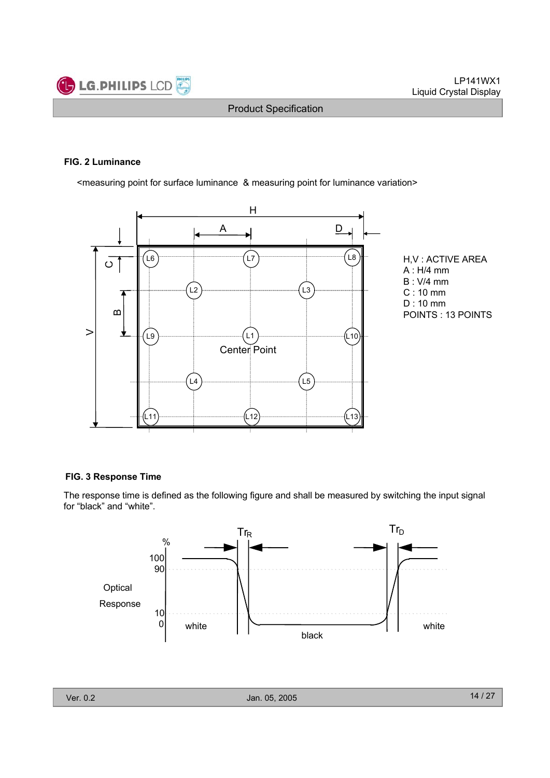

#### **FIG. 2 Luminance**

<measuring point for surface luminance & measuring point for luminance variation>





#### **FIG. 3 Response Time**

The response time is defined as the following figure and shall be measured by switching the input signal for "black" and "white".

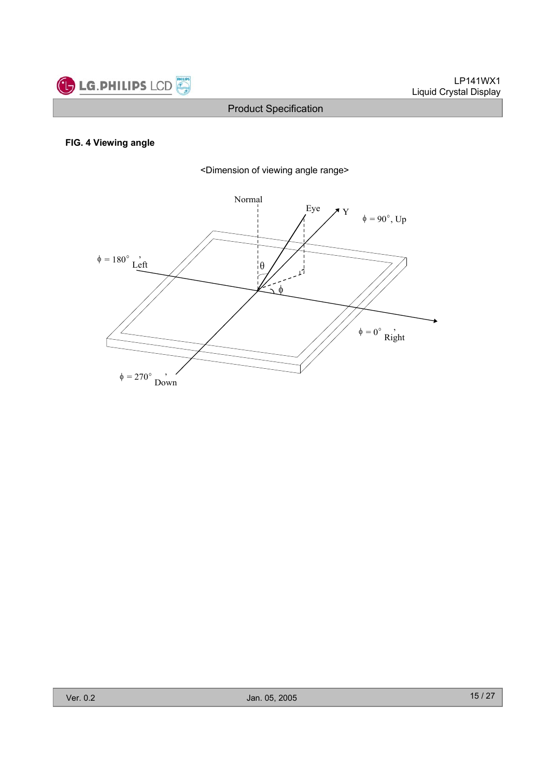

### **FIG. 4 Viewing angle**



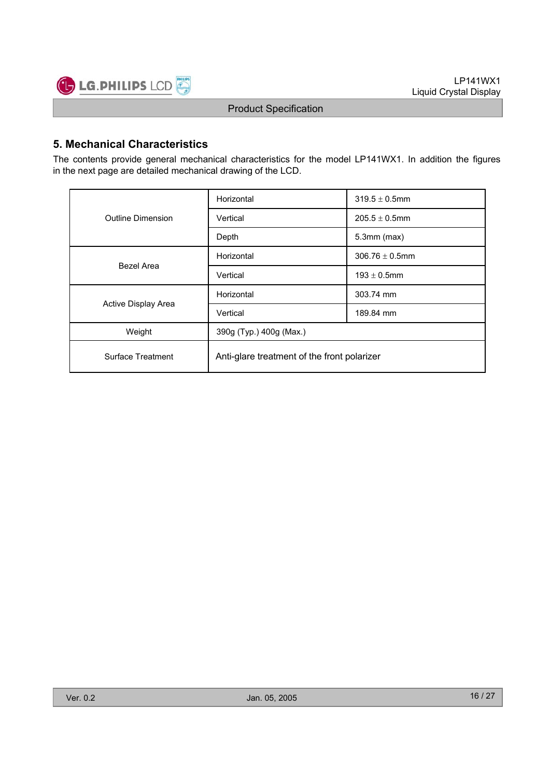

### **5. Mechanical Characteristics**

The contents provide general mechanical characteristics for the model LP141WX1. In addition the figures in the next page are detailed mechanical drawing of the LCD.

|                     | Horizontal                                  | $319.5 \pm 0.5$ mm  |  |  |  |  |
|---------------------|---------------------------------------------|---------------------|--|--|--|--|
| Outline Dimension   | Vertical                                    | $205.5 \pm 0.5$ mm  |  |  |  |  |
|                     | Depth                                       | $5.3$ mm $(max)$    |  |  |  |  |
| Bezel Area          | Horizontal                                  | $306.76 \pm 0.5$ mm |  |  |  |  |
|                     | Vertical                                    | $193 \pm 0.5$ mm    |  |  |  |  |
|                     | Horizontal                                  | 303.74 mm           |  |  |  |  |
| Active Display Area | Vertical                                    | 189.84 mm           |  |  |  |  |
| Weight              | 390g (Typ.) 400g (Max.)                     |                     |  |  |  |  |
| Surface Treatment   | Anti-glare treatment of the front polarizer |                     |  |  |  |  |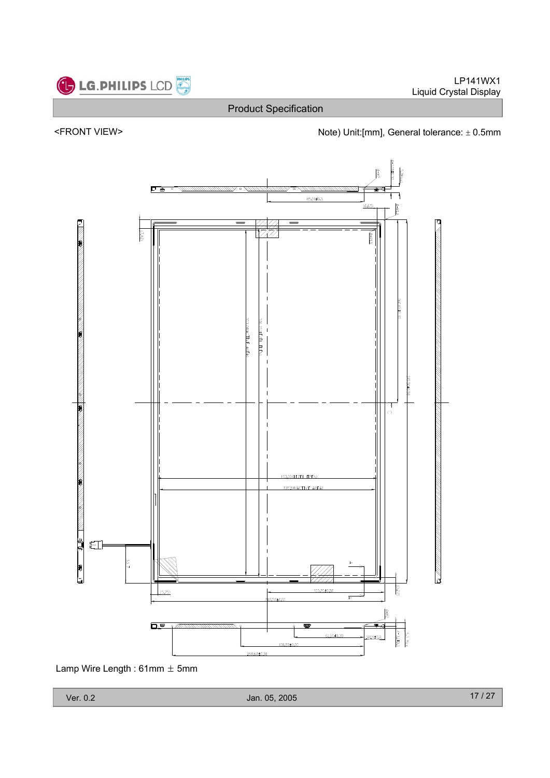







Lamp Wire Length:  $61mm \pm 5mm$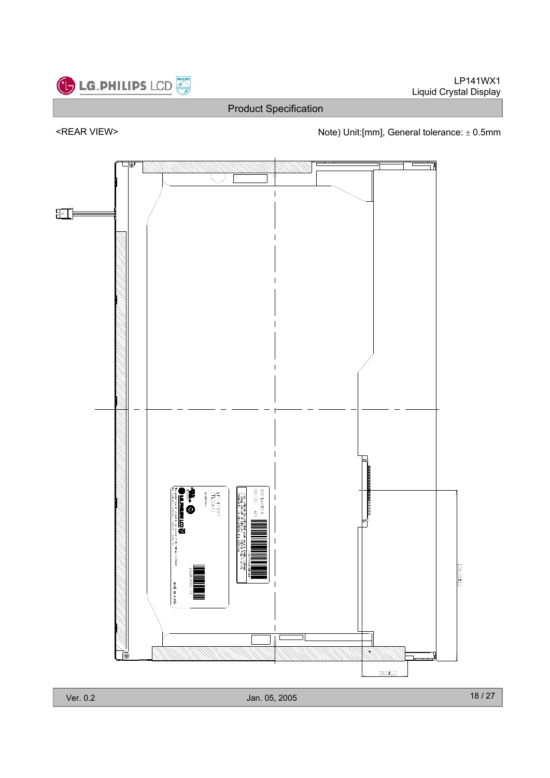LP141WX1 Liquid Crystal Display



Product Specification

<REAR VIEW> Note) Unit:[mm], General tolerance:  $\pm$  0.5mm

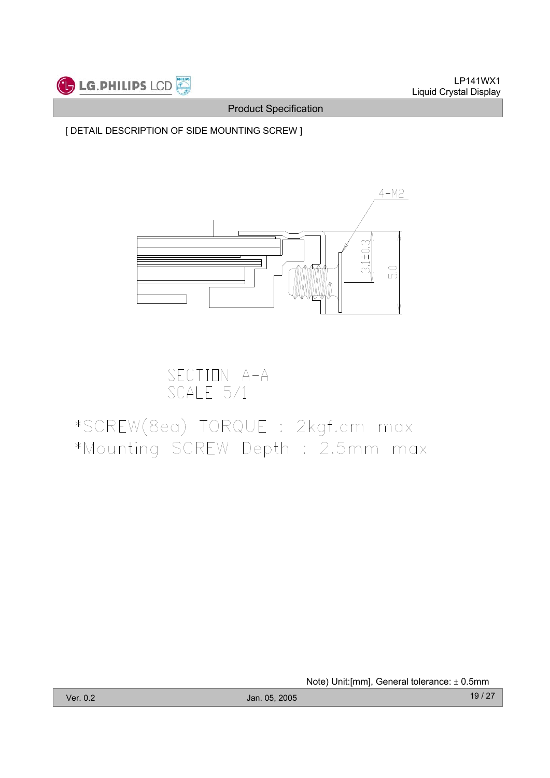

[ DETAIL DESCRIPTION OF SIDE MOUNTING SCREW ]



SECTION A-A<br>SCALE 5/1

# \*SCREW(8ea) TORQUE : 2kgf.cm max \*Mounting SCREW Depth : 2.5mm max

Note) Unit: [mm], General tolerance:  $\pm$  0.5mm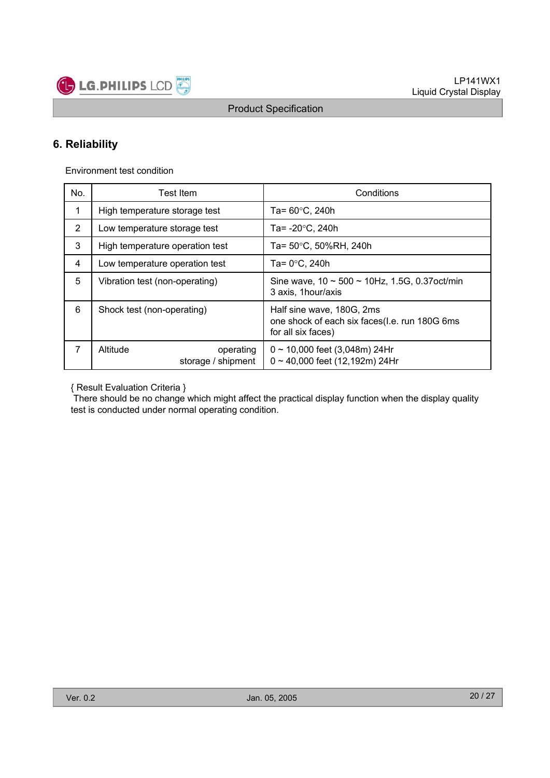

### **6. Reliability**

Environment test condition

| No.         | Test Item                                   | Conditions                                                                                       |  |  |  |  |  |
|-------------|---------------------------------------------|--------------------------------------------------------------------------------------------------|--|--|--|--|--|
| $\mathbf 1$ | High temperature storage test               | Ta= $60^{\circ}$ C, 240h                                                                         |  |  |  |  |  |
| 2           | Low temperature storage test                | Ta= $-20^{\circ}$ C, 240h                                                                        |  |  |  |  |  |
| 3           | High temperature operation test             | Ta= 50°C, 50%RH, 240h                                                                            |  |  |  |  |  |
| 4           | Low temperature operation test              | Ta= $0^{\circ}$ C, 240h                                                                          |  |  |  |  |  |
| 5           | Vibration test (non-operating)              | Sine wave, $10 \sim 500 \sim 10$ Hz, 1.5G, 0.37 oct/min<br>3 axis, 1 hour/axis                   |  |  |  |  |  |
| 6           | Shock test (non-operating)                  | Half sine wave, 180G, 2ms<br>one shock of each six faces(I.e. run 180G 6ms<br>for all six faces) |  |  |  |  |  |
| 7           | Altitude<br>operating<br>storage / shipment | $0 \sim 10,000$ feet (3,048m) 24Hr<br>$0 \sim 40,000$ feet (12,192m) 24Hr                        |  |  |  |  |  |

{ Result Evaluation Criteria }

There should be no change which might affect the practical display function when the display quality test is conducted under normal operating condition.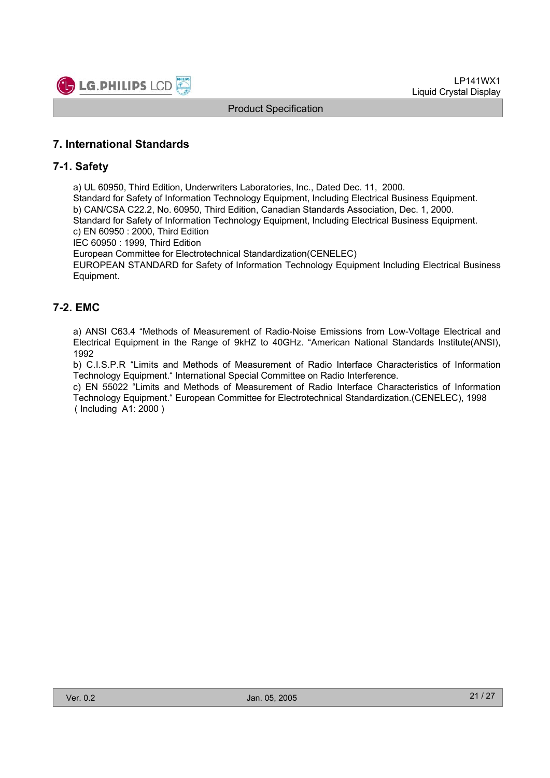

### **7. International Standards**

### **7-1. Safety**

a) UL 60950, Third Edition, Underwriters Laboratories, Inc., Dated Dec. 11, 2000.

Standard for Safety of Information Technology Equipment, Including Electrical Business Equipment. b) CAN/CSA C22.2, No. 60950, Third Edition, Canadian Standards Association, Dec. 1, 2000. Standard for Safety of Information Technology Equipment, Including Electrical Business Equipment.

c) EN 60950 : 2000, Third Edition

IEC 60950 : 1999, Third Edition

European Committee for Electrotechnical Standardization(CENELEC)

EUROPEAN STANDARD for Safety of Information Technology Equipment Including Electrical Business Equipment.

### **7-2. EMC**

a) ANSI C63.4 "Methods of Measurement of Radio-Noise Emissions from Low-Voltage Electrical and Electrical Equipment in the Range of 9kHZ to 40GHz. "American National Standards Institute(ANSI), 1992

b) C.I.S.P.R "Limits and Methods of Measurement of Radio Interface Characteristics of Information Technology Equipment." International Special Committee on Radio Interference.

c) EN 55022 "Limits and Methods of Measurement of Radio Interface Characteristics of Information Technology Equipment." European Committee for Electrotechnical Standardization.(CENELEC), 1998 ( Including A1: 2000 )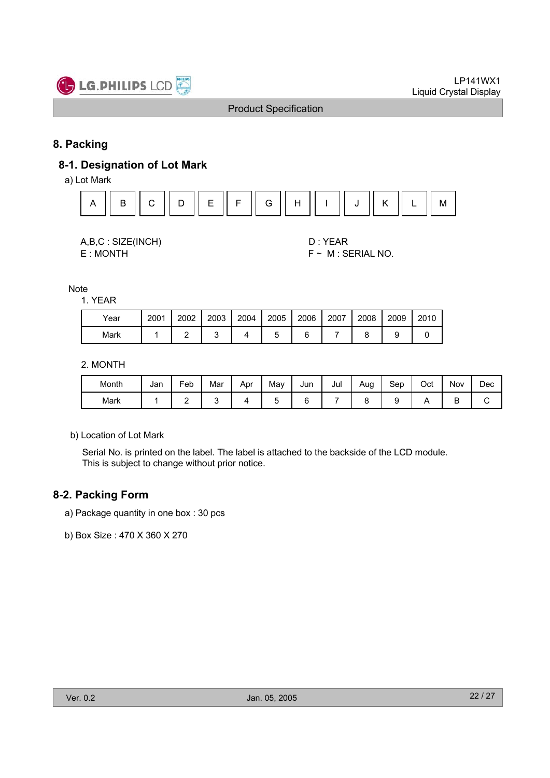

### **8. Packing**

### **8-1. Designation of Lot Mark**

a) Lot Mark



| A,B,C: SIZE(INCH) |  |
|-------------------|--|
| E: MONTH          |  |

D : YEAR  $F \sim M$  : SERIAL NO.

Note

1. YEAR

| Year | 2001 | 2002 | 2003 | 2004 | 2005 | 2006 | 2007 | 2008 | 2009 | 2010 |
|------|------|------|------|------|------|------|------|------|------|------|
| Mark |      |      |      |      |      |      |      |      |      |      |

#### 2. MONTH

| Month | Jan | Feb | Mar | Apr | May | Jun | Jul | Aug | Sep | Oct | Nov | Dec |
|-------|-----|-----|-----|-----|-----|-----|-----|-----|-----|-----|-----|-----|
| Mark  |     | -   |     |     |     |     |     |     |     |     | ◡   | ີ   |

b) Location of Lot Mark

Serial No. is printed on the label. The label is attached to the backside of the LCD module. This is subject to change without prior notice.

### **8-2. Packing Form**

- a) Package quantity in one box : 30 pcs
- b) Box Size : 470 X 360 X 270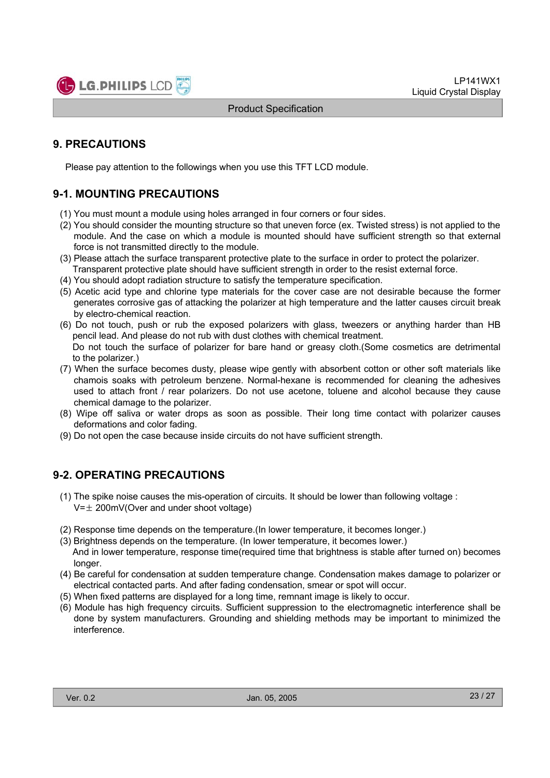

### **9. PRECAUTIONS**

Please pay attention to the followings when you use this TFT LCD module.

### **9-1. MOUNTING PRECAUTIONS**

- (1) You must mount a module using holes arranged in four corners or four sides.
- (2) You should consider the mounting structure so that uneven force (ex. Twisted stress) is not applied to the module. And the case on which a module is mounted should have sufficient strength so that external force is not transmitted directly to the module.
- (3) Please attach the surface transparent protective plate to the surface in order to protect the polarizer. Transparent protective plate should have sufficient strength in order to the resist external force.
- (4) You should adopt radiation structure to satisfy the temperature specification.
- (5) Acetic acid type and chlorine type materials for the cover case are not desirable because the former generates corrosive gas of attacking the polarizer at high temperature and the latter causes circuit break by electro-chemical reaction.
- (6) Do not touch, push or rub the exposed polarizers with glass, tweezers or anything harder than HB pencil lead. And please do not rub with dust clothes with chemical treatment. Do not touch the surface of polarizer for bare hand or greasy cloth.(Some cosmetics are detrimental
- to the polarizer.) (7) When the surface becomes dusty, please wipe gently with absorbent cotton or other soft materials like chamois soaks with petroleum benzene. Normal-hexane is recommended for cleaning the adhesives used to attach front / rear polarizers. Do not use acetone, toluene and alcohol because they cause
- chemical damage to the polarizer. (8) Wipe off saliva or water drops as soon as possible. Their long time contact with polarizer causes deformations and color fading.
- (9) Do not open the case because inside circuits do not have sufficient strength.

### **9-2. OPERATING PRECAUTIONS**

- (1) The spike noise causes the mis-operation of circuits. It should be lower than following voltage :  $V=\pm 200$ mV(Over and under shoot voltage)
- (2) Response time depends on the temperature.(In lower temperature, it becomes longer.)
- (3) Brightness depends on the temperature. (In lower temperature, it becomes lower.) And in lower temperature, response time(required time that brightness is stable after turned on) becomes longer.
- (4) Be careful for condensation at sudden temperature change. Condensation makes damage to polarizer or electrical contacted parts. And after fading condensation, smear or spot will occur.
- (5) When fixed patterns are displayed for a long time, remnant image is likely to occur.
- (6) Module has high frequency circuits. Sufficient suppression to the electromagnetic interference shall be done by system manufacturers. Grounding and shielding methods may be important to minimized the interference.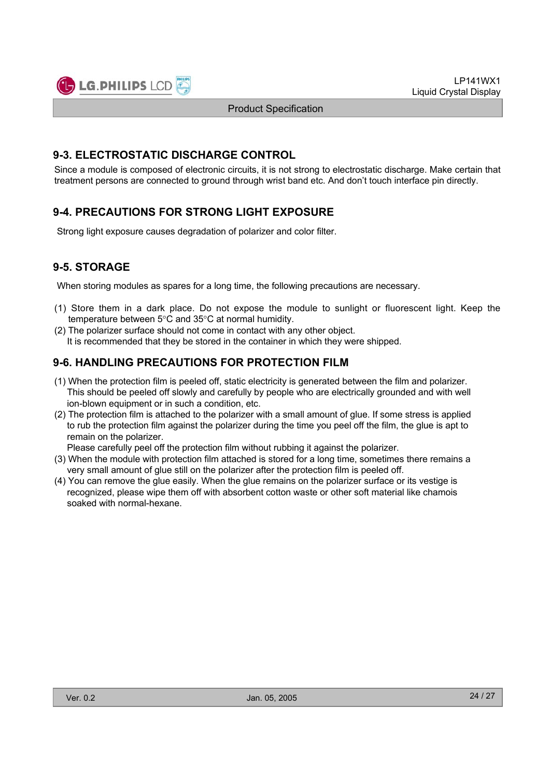

### **9-3. ELECTROSTATIC DISCHARGE CONTROL**

Since a module is composed of electronic circuits, it is not strong to electrostatic discharge. Make certain that treatment persons are connected to ground through wrist band etc. And don't touch interface pin directly.

### **9-4. PRECAUTIONS FOR STRONG LIGHT EXPOSURE**

Strong light exposure causes degradation of polarizer and color filter.

### **9-5. STORAGE**

When storing modules as spares for a long time, the following precautions are necessary.

- (1) Store them in a dark place. Do not expose the module to sunlight or fluorescent light. Keep the temperature between  $5^{\circ}$ C and  $35^{\circ}$ C at normal humidity.
- (2) The polarizer surface should not come in contact with any other object. It is recommended that they be stored in the container in which they were shipped.

### **9-6. HANDLING PRECAUTIONS FOR PROTECTION FILM**

- (1) When the protection film is peeled off, static electricity is generated between the film and polarizer. This should be peeled off slowly and carefully by people who are electrically grounded and with well ion-blown equipment or in such a condition, etc.
- (2) The protection film is attached to the polarizer with a small amount of glue. If some stress is applied to rub the protection film against the polarizer during the time you peel off the film, the glue is apt to remain on the polarizer.

Please carefully peel off the protection film without rubbing it against the polarizer.

- (3) When the module with protection film attached is stored for a long time, sometimes there remains a very small amount of glue still on the polarizer after the protection film is peeled off.
- (4) You can remove the glue easily. When the glue remains on the polarizer surface or its vestige is recognized, please wipe them off with absorbent cotton waste or other soft material like chamois soaked with normal-hexane.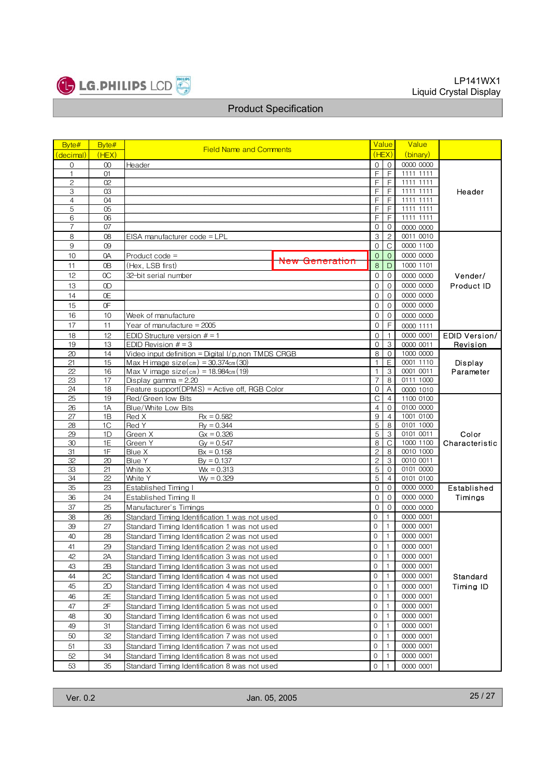

| Byte#          | Byte#          | <b>Field Name and Comments</b>                                  |                           | Value                        | Value                          |                        |                |
|----------------|----------------|-----------------------------------------------------------------|---------------------------|------------------------------|--------------------------------|------------------------|----------------|
| (decimal)      | (HEX)          |                                                                 |                           | (HEX)                        | (binary)                       |                        |                |
| 0              | $00\,$         | Header                                                          | 0                         | $\mathbf{0}$                 | 0000 0000                      |                        |                |
| $\mathbf{1}$   | O <sub>1</sub> |                                                                 |                           | F                            | $\overline{F}$                 | 1111 1111              |                |
| $\overline{c}$ | 02             |                                                                 | F                         | F                            | 1111 1111                      |                        |                |
| 3              | 03             |                                                                 | F                         | $\overline{F}$               | 1111 1111                      | Header                 |                |
| $\overline{4}$ | 04             |                                                                 |                           | F                            | F                              | 1111 1111              |                |
| 5              | 05             |                                                                 |                           | F                            | F                              | 1111 1111              |                |
| 6              | 06             |                                                                 |                           | F                            | F                              | 1111 1111              |                |
| 7<br>8         | 07<br>08       | EISA manufacturer code = LPL                                    |                           | $\mathsf{O}\xspace$<br>3     | $\mathbf{0}$<br>$\overline{c}$ | 0000 0000<br>0011 0010 |                |
| $9\,$          | 09             |                                                                 |                           | $\boldsymbol{0}$             | $\mathsf{C}$                   | 0000 1100              |                |
| 10             | 0A             | Product code =                                                  |                           | $\mathbf 0$                  | $\mathbf{O}$                   | 0000 0000              |                |
|                |                |                                                                 | <del>New Generation</del> | 8                            | D                              | 1000 1101              |                |
| 11             | 0 <sub>B</sub> | (Hex, LSB first)                                                |                           |                              |                                |                        |                |
| 12             | OC             | 32-bit serial number                                            |                           | $\mathsf{O}\xspace$          | $\Omega$                       | 0000 0000              | Vender/        |
| 13             | 0D             |                                                                 |                           | $\mathbf 0$                  | $\mathbf{0}$                   | 0000 0000              | Product ID     |
| 14             | 0E             |                                                                 |                           | $\mathbf 0$                  | $\mathbf{0}$                   | 0000 0000              |                |
| 15             | 0F             |                                                                 |                           | $\mathbf 0$                  | $\mathbf{0}$                   | 0000 0000              |                |
| 16             | 10             | Week of manufacture                                             |                           | $\overline{0}$               | $\mathbf 0$                    | 0000 0000              |                |
| 17             | 11             | Year of manufacture = 2005                                      |                           | $\overline{0}$               | F                              | 0000 1111              |                |
| 18             | 12             | EDID Structure version $# = 1$                                  |                           | $\mathbf 0$                  | $\mathbf{1}$                   | 0000 0001              | EDID Version/  |
| 19             | 13             | EDID Revision $# = 3$                                           |                           | 0                            | 3                              | 0000 0011              | Revision       |
| 20             | 14             | Video input definition = Digital I/p,non TMDS CRGB              |                           | 8                            | $\mathbf 0$                    | 1000 0000              |                |
| 21<br>22       | 15             | Max H image $size(cm) = 30.374cm(30)$                           |                           | $\mathbf{1}$<br>$\mathbf{1}$ | E<br>3                         | 0001 1110<br>0001 0011 | Display        |
| 23             | 16<br>17       | Max V image $size(cm) = 18.984cm(19)$<br>Display gamma $= 2.20$ |                           | $\overline{7}$               | 8                              | 0111 1000              | Parameter      |
| 24             | 18             | Feature support(DPMS) = Active off, RGB Color                   | $\mathbf 0$               | A                            | 0000 1010                      |                        |                |
| 25             | 19             | Red/Green low Bits                                              | C                         | $\overline{4}$               | 1100 0100                      |                        |                |
| 26             | 1A             | Blue/White Low Bits                                             |                           | $\overline{4}$               | $\mathbf{O}$                   | 0100 0000              |                |
| 27             | 1B             | $Rx = 0.582$<br>Red X                                           |                           | $\overline{9}$               | $\overline{4}$                 | 1001_0100              |                |
| 28             | 1C             | Red Y<br>$Rv = 0.344$                                           |                           | $\overline{5}$               | 8                              | 0101 1000              |                |
| 29             | 1D             | Green X<br>$Gx = 0.326$                                         |                           | $\overline{5}$               | $\overline{3}$                 | 0101 0011              | Color          |
| 30             | 1E             | Green Y<br>$Gy = 0.547$                                         |                           | $\overline{8}$               | $\mathsf{C}$                   | 1000 1100              | Characteristic |
| 31             | 1F             | Blue X<br>$Bx = 0.158$                                          |                           | $\overline{2}$               | $\overline{8}$                 | 0010 1000              |                |
| 32             | 20             | Blue Y<br>$By = 0.137$                                          |                           | $\overline{2}$               | $\ensuremath{\mathsf{3}}$      | 0010 0011              |                |
| 33             | 21             | White X<br>$Wx = 0.313$                                         |                           | $\mathbf 5$                  | $\mathbf 0$                    | 0101 0000              |                |
| 34             | 22             | White Y<br>$Wy = 0.329$                                         |                           | 5                            | $\overline{4}$                 | 0101_0100              |                |
| 35             | 23             | Established Timing I                                            |                           | $\overline{0}$               | $\Omega$                       | 0000 0000              | Established    |
| 36             | 24             | Established Timing II                                           |                           | $\mathbf 0$                  | $\Omega$                       | 0000 0000              | Timings        |
| 37             | 25             | Manufacturer's Timings                                          |                           | $\overline{0}$               | $\mathbf{0}$                   | 0000 0000              |                |
| 38             | 26             | Standard Timing Identification 1 was not used                   |                           | 0                            |                                | 0000 0001              |                |
| 39             | 27             | Standard Timing Identification 1 was not used                   |                           | $\mathbf{0}$                 |                                | 0000 0001              |                |
| 40             | 28             | Standard Timing Identification 2 was not used                   |                           | $\Omega$<br>$\Omega$         |                                | 0000 0001              |                |
| 41             | 29             | Standard Timing Identification 2 was not used                   |                           |                              |                                | 0000 0001              |                |
| 42             | 2A             | Standard Timing Identification 3 was not used                   | 0<br>$\mathbf{O}$         | 1<br>1                       | 0000 0001                      |                        |                |
| 43             | 2B             | Standard Timing Identification 3 was not used                   |                           |                              |                                | 0000 0001              |                |
| 44             | 2C             | Standard Timing Identification 4 was not used                   |                           |                              |                                | 0000 0001              | Standard       |
| 45             | 2D             | Standard Timing Identification 4 was not used                   |                           |                              |                                | 0000 0001              | Timing ID      |
| 46             | 2E             | Standard Timing Identification 5 was not used                   |                           |                              | 1                              | 0000 0001              |                |
| 47             | 2F             | Standard Timing Identification 5 was not used                   |                           | 0                            | 1                              | 0000 0001              |                |
| 48             | 30             | Standard Timing Identification 6 was not used                   |                           |                              | 1                              | 0000 0001              |                |
| 49             | 31             | Standard Timing Identification 6 was not used                   |                           |                              | 1                              | 0000 0001              |                |
| 50             | 32             | Standard Timing Identification 7 was not used                   |                           |                              |                                | 0000 0001              |                |
| 51             | 33             | Standard Timing Identification 7 was not used                   |                           | $\mathsf{O}\xspace$          | 1                              | 0000 0001              |                |
| 52             | 34             | Standard Timing Identification 8 was not used                   |                           | 0                            | 1                              | 0000 0001              |                |
| 53             | 35             | Standard Timing Identification 8 was not used                   | $\mathbf{O}$              |                              | 0000 0001                      |                        |                |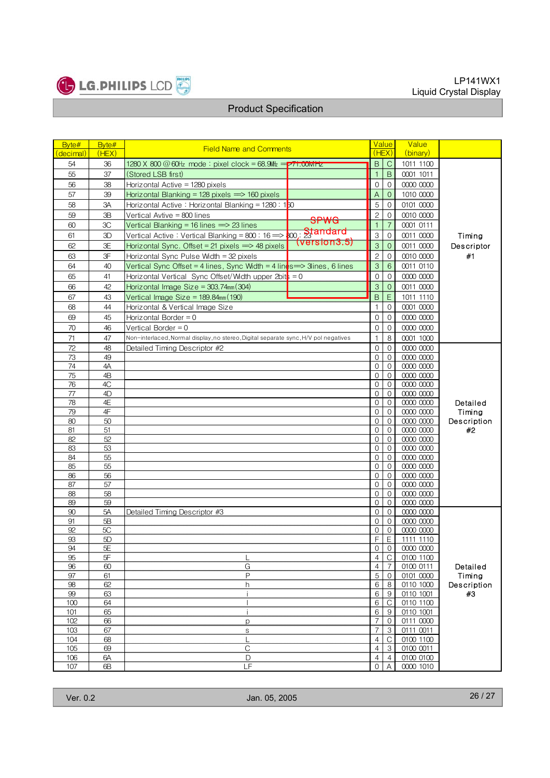

| Byte#            | Byte#    | <b>Field Name and Comments</b>                                                            | Value                     |                              | Value                  |                   |
|------------------|----------|-------------------------------------------------------------------------------------------|---------------------------|------------------------------|------------------------|-------------------|
| <u>(decimal)</u> | (HEX)    |                                                                                           | (HEX)                     |                              | (binary)               |                   |
| 54               | 36       | 1280 X 800 $@$ 60Hz mode: pixel clock = 68.9MHz = $\overline{PT1.00}$ MHz                 | B                         | $\mathsf{C}$                 | 1011 1100              |                   |
| 55               | 37       | (Stored LSB first)                                                                        | $\mathbf{1}$              | $\,$ B                       | 0001 1011              |                   |
| 56               | 38       | Horizontal Active = 1280 pixels                                                           | $\mathbf{0}$              | $\mathbf{O}$                 | 0000 0000              |                   |
| 57               | 39       | Horizontal Blanking = 128 pixels $\implies$ 160 pixels                                    | Α                         | $\mathbf 0$                  | 1010 0000              |                   |
| 58               | ЗA       | Horizontal Active : Horizontal Blanking = 1280 : 1 $\overline{50}$                        | 5                         | 0                            | 0101 0000              |                   |
| 59               | 3B       | Vertical Avtive = 800 lines<br><b>SPWG</b>                                                | $\overline{c}$            | $\mathbf 0$                  | 0010 0000              |                   |
| 60               | 3C       | Vertical Blanking = 16 lines $\implies$ 23 lines                                          | $\mathbf{1}$              | $\overline{7}$               | 0001 0111              |                   |
| 61               | 3D       | Vertical Active : Vertical Blanking = 800 : 16 $\Rightarrow$ 00, Standard<br>(version3.5) | $\,$ 3 $\,$               | $\mathbf{0}$                 | 0011 0000              | Timing            |
| 62               | 3E       | Horizontal Sync. Offset = 21 pixels $\implies$ 48 pixels                                  | 3                         | $\mathbf 0$                  | 0011 0000              | Descriptor        |
| 63               | 3F       | Horizontal Sync Pulse Width = 32 pixels                                                   | $\overline{c}$            | $\mathbf{0}$                 | 0010 0000              | #1                |
| 64               | 40       | Vertical Sync Offset = 4 lines, Sync Width = 4 lines = $>$ 3 lines, 6 lines               | $\ensuremath{\mathsf{3}}$ | $\,6$                        | 0011 0110              |                   |
| 65               | 41       | Horizontal Vertical Sync Offset/Width upper 2bit $\frac{1}{2} = 0$                        | 0                         | $\mathbf{O}$                 | 0000 0000              |                   |
| 66               | 42       | Horizontal Image Size = $303.74$ mm $(304)$                                               | $\ensuremath{\mathsf{3}}$ | $\overline{0}$               | 0011 0000              |                   |
| 67               | 43       | Vertical Image Size = $189.84$ mm $(190)$                                                 | $\overline{B}$            | $\mathsf E$                  | 1011 1110              |                   |
| 68               | 44       | Horizontal & Vertical Image Size                                                          | 1                         | $\Omega$                     | 0001 0000              |                   |
| 69               | 45       | Horizontal Border = $0$                                                                   | $\mathbf{0}$              | $\mathbf{O}$                 | 0000 0000              |                   |
| 70               | 46       | Vertical Border = 0                                                                       | $\mathbf{0}$              | $\mathbf{0}$                 | 0000 0000              |                   |
| 71               | 47       | Non-interlaced, Normal display, no stereo, Digital separate sync, H/V pol negatives       | 1                         | 8                            | 0001 1000              |                   |
| 72               | 48       | Detailed Timing Descriptor #2                                                             | 0                         | $\mathbf 0$                  | 0000 0000              |                   |
| 73               | 49       |                                                                                           | $\mathbf{0}$              | $\Omega$                     | 0000 0000              |                   |
| 74               | 4A       |                                                                                           | $\mathbf{0}$              | $\mathbf{0}$                 | 0000 0000              |                   |
| 75               | 4B       |                                                                                           | 0                         | $\mathbf{0}$                 | 0000 0000              |                   |
| 76               | 4C       |                                                                                           | $\mathbf{0}$              | $\mathbf{0}$                 | 0000 0000              |                   |
| 77               | 4D       |                                                                                           | $\mathbf{0}$              | $\mathbf{0}$                 | 0000 0000              |                   |
| 78               | 4E       |                                                                                           | $\mathbf 0$               | $\mathbf 0$                  | 0000 0000              | Detailed          |
| 79<br>80         | 4F<br>50 |                                                                                           | $\mathbf{0}$<br>0         | $\mathbf{O}$<br>$\mathbf{0}$ | 00000000<br>0000 0000  | Timing            |
| 81               | 51       |                                                                                           | 0                         | $\mathbf 0$                  | 0000 0000              | Description<br>#2 |
| 82               | 52       |                                                                                           | $\mathbf{0}$              | $\mathbf{0}$                 | 0000 0000              |                   |
| 83               | 53       |                                                                                           | 0                         | $\mathbf{0}$                 | 0000 0000              |                   |
| 84               | 55       |                                                                                           | $\mathbf{0}$              | $\mathbf{0}$                 | 0000 0000              |                   |
| 85               | 55       |                                                                                           | $\mathbf{0}$              | $\mathbf{O}$                 | 0000 0000              |                   |
| 86               | 56       |                                                                                           | 0                         | $\mathbf{0}$                 | 0000 0000              |                   |
| 87               | 57       |                                                                                           | $\mathbf{0}$              | $\Omega$                     | 0000 0000              |                   |
| 88               | 58       |                                                                                           | $\mathbf 0$               | $\mathbf 0$                  | 0000 0000              |                   |
| 89               | 59       |                                                                                           | $\mathbf{0}$              | $\mathbf{0}$                 | 0000 0000              |                   |
| 90               | 5A       | Detailed Timing Descriptor #3                                                             | $\mathbf{O}$              | $\mathbf{0}$                 | 0000 0000              |                   |
| 91<br>92         | 5B<br>5C |                                                                                           | 0                         | $\mathbf{0}$                 | 0000 0000<br>0000 0000 |                   |
| 93               | 5D       |                                                                                           | 0<br>F                    | $\mathbf 0$<br>$\mathsf E$   | 1111 1110              |                   |
| 94               | 5E       |                                                                                           | $\mathbf{0}$              | $\Omega$                     | 0000 0000              |                   |
| 95               | 5F       | L                                                                                         | 4                         | $\overline{C}$               | 0100 1100              |                   |
| 96               | 60       | G                                                                                         | $\overline{4}$            | 7                            | 0100 0111              | Detailed          |
| 97               | 61       | $\mathsf P$                                                                               | 5                         | 0                            | 0101 0000              | Timing            |
| 98               | 62       | h                                                                                         | 6                         | 8                            | 0110 1000              | Description       |
| 99               | 63       | Ť                                                                                         | 6                         | 9                            | 0110 1001              | #3                |
| 100              | 64       | $\overline{1}$                                                                            | 6                         | С                            | 0110 1100              |                   |
| 101              | 65       | $\mathbf{i}$                                                                              | 6                         | 9                            | 0110 1001              |                   |
| 102              | 66       | p                                                                                         | $\overline{7}$            | $\mathbf{0}$                 | 0111 0000              |                   |
| 103              | 67       | $\mathbb S$<br>$\mathsf{L}$                                                               | 7<br>$\overline{4}$       | 3                            | 0111 0011              |                   |
| 104<br>105       | 68<br>69 | C                                                                                         | $\overline{4}$            | $\mathsf{C}$<br>3            | 0100 1100<br>0100 0011 |                   |
| 106              | 6A       | $\mathsf{D}$                                                                              | 4                         | $\overline{4}$               | 0100 0100              |                   |
| 107              | 6B       | LF                                                                                        | $\Omega$                  | A                            | 0000 1010              |                   |